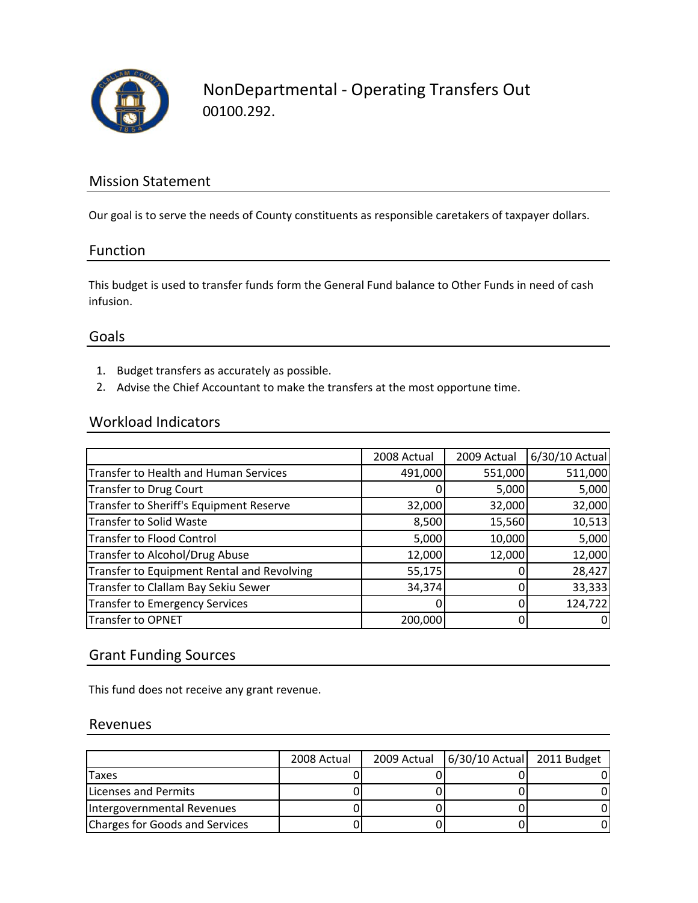

## Mission Statement

Our goal is to serve the needs of County constituents as responsible caretakers of taxpayer dollars.

### Function

This budget is used to transfer funds form the General Fund balance to Other Funds in need of cash infusion.

### Goals

- 1. Budget transfers as accurately as possible.
- 2. Advise the Chief Accountant to make the transfers at the most opportune time.

## Workload Indicators

|                                              | 2008 Actual | 2009 Actual | 6/30/10 Actual |
|----------------------------------------------|-------------|-------------|----------------|
| <b>Transfer to Health and Human Services</b> | 491,000     | 551,000     | 511,000        |
| <b>Transfer to Drug Court</b>                |             | 5,000       | 5,000          |
| Transfer to Sheriff's Equipment Reserve      | 32,000      | 32,000      | 32,000         |
| Transfer to Solid Waste                      | 8,500       | 15,560      | 10,513         |
| <b>Transfer to Flood Control</b>             | 5,000       | 10,000      | 5,000          |
| <b>Transfer to Alcohol/Drug Abuse</b>        | 12,000      | 12,000      | 12,000         |
| Transfer to Equipment Rental and Revolving   | 55,175      |             | 28,427         |
| Transfer to Clallam Bay Sekiu Sewer          | 34,374      |             | 33,333         |
| <b>Transfer to Emergency Services</b>        |             | 0           | 124,722        |
| <b>Transfer to OPNET</b>                     | 200,000     |             | 0              |

## Grant Funding Sources

This fund does not receive any grant revenue.

### Revenues

|                                       | 2008 Actual | 2009 Actual   6/30/10 Actual   2011 Budget |  |
|---------------------------------------|-------------|--------------------------------------------|--|
| Taxes                                 |             |                                            |  |
| Licenses and Permits                  |             |                                            |  |
| Intergovernmental Revenues            |             |                                            |  |
| <b>Charges for Goods and Services</b> |             |                                            |  |